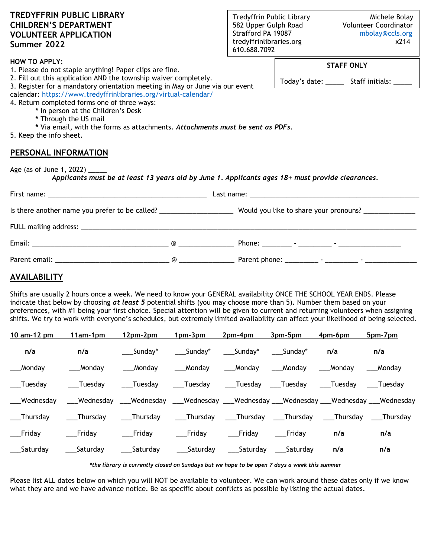| <b>TREDYFFRIN PUBLIC LIBRARY</b><br><b>CHILDREN'S DEPARTMENT</b><br><b>VOLUNTEER APPLICATION</b><br>Summer 2022                                                                                                                                                                                                    |  | Tredyffrin Public Library<br>582 Upper Gulph Road<br>Strafford PA 19087<br>tredyffrinlibraries.org<br>610.688.7092 |                                                                    | Michele Bolay<br>Volunteer Coordinator<br>mbolay@ccls.org<br>x214 |  |  |  |
|--------------------------------------------------------------------------------------------------------------------------------------------------------------------------------------------------------------------------------------------------------------------------------------------------------------------|--|--------------------------------------------------------------------------------------------------------------------|--------------------------------------------------------------------|-------------------------------------------------------------------|--|--|--|
| <b>HOW TO APPLY:</b><br>1. Please do not staple anything! Paper clips are fine.<br>2. Fill out this application AND the township waiver completely.<br>3. Register for a mandatory orientation meeting in May or June via our event                                                                                |  |                                                                                                                    | <b>STAFF ONLY</b><br>Today's date: ________ Staff initials: ______ |                                                                   |  |  |  |
| calendar: https://www.tredyffrinlibraries.org/virtual-calendar/<br>4. Return completed forms one of three ways:<br>* In person at the Children's Desk<br>* Through the US mail<br>* Via email, with the forms as attachments. Attachments must be sent as PDFs.<br>5. Keep the info sheet.<br>PERSONAL INFORMATION |  |                                                                                                                    |                                                                    |                                                                   |  |  |  |
| Age (as of June 1, 2022) ______<br>Applicants must be at least 13 years old by June 1. Applicants ages 18+ must provide clearances.                                                                                                                                                                                |  |                                                                                                                    |                                                                    |                                                                   |  |  |  |
|                                                                                                                                                                                                                                                                                                                    |  |                                                                                                                    |                                                                    |                                                                   |  |  |  |
| Is there another name you prefer to be called? __________________________________ Would you like to share your pronouns? ______________                                                                                                                                                                            |  |                                                                                                                    |                                                                    |                                                                   |  |  |  |
|                                                                                                                                                                                                                                                                                                                    |  |                                                                                                                    |                                                                    |                                                                   |  |  |  |
|                                                                                                                                                                                                                                                                                                                    |  |                                                                                                                    |                                                                    |                                                                   |  |  |  |
|                                                                                                                                                                                                                                                                                                                    |  |                                                                                                                    |                                                                    |                                                                   |  |  |  |
| <b>AVAILABILITY</b>                                                                                                                                                                                                                                                                                                |  |                                                                                                                    |                                                                    |                                                                   |  |  |  |

Shifts are usually 2 hours once a week. We need to know your GENERAL availability ONCE THE SCHOOL YEAR ENDS. Please indicate that below by choosing *at least 5* potential shifts (you may choose more than 5). Number them based on your preferences, with #1 being your first choice. Special attention will be given to current and returning volunteers when assigning shifts. We try to work with everyone's schedules, but extremely limited availability can affect your likelihood of being selected.

| 10 am-12 pm | 11am-1pm   | 12pm-2pm   | 1pm-3pm      | 2pm-4pm     | 3pm-5pm       | 4pm-6pm  | 5pm-7pm                                                                                  |
|-------------|------------|------------|--------------|-------------|---------------|----------|------------------------------------------------------------------------------------------|
| n/a         | n/a        | ___Sunday* | Sunday*      | ____Sunday* | Sunday*       | n/a      | n/a                                                                                      |
| Monday      | ___ Monday | Mondav     | ___ Monday   | Monday      | ___ Monday    | Mondav   | Monday                                                                                   |
| Tuesdav     | Tuesdav    | Tuesday    | ____Tuesday  | ____Tuesday | __Tuesday     | Tuesdav  | Tuesdav                                                                                  |
| Wednesday   |            |            |              |             |               |          | _Wednesday ___Wednesday ___Wednesday ___Wednesday ___Wednesday ___Wednesday ___Wednesday |
| Thursday    | Thursdav   | Thursday   | ____Thursday | ___Thursday | Thursday      | Thursday | Thursdav                                                                                 |
| Friday      | __ Friday  | __Friday   | Friday       | __ Friday   | Friday        | n/a      | n/a                                                                                      |
| Saturdav    | Saturday   | Saturday   | Saturday     | Saturday    | ____ Saturday | n/a      | n/a                                                                                      |

*\*the library is currently closed on Sundays but we hope to be open 7 days a week this summer*

Please list ALL dates below on which you will NOT be available to volunteer. We can work around these dates only if we know what they are and we have advance notice. Be as specific about conflicts as possible by listing the actual dates.